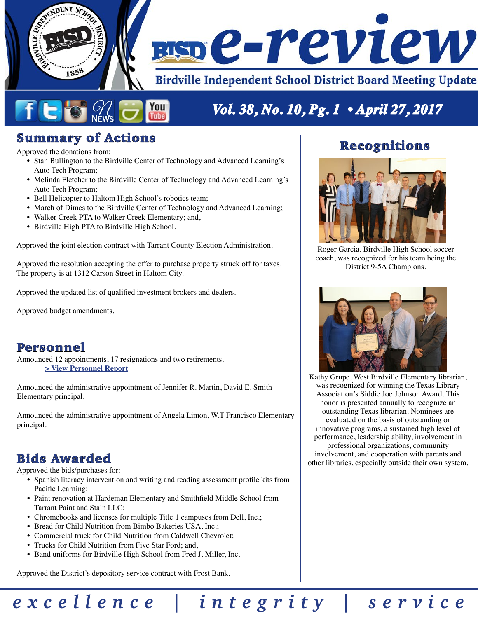

# Summary of Actions

Approved the donations from:

• Stan Bullington to the Birdville Center of Technology and Advanced Learning's Auto Tech Program;

**Tube** 

- Melinda Fletcher to the Birdville Center of Technology and Advanced Learning's Auto Tech Program;
- Bell Helicopter to Haltom High School's robotics team;
- March of Dimes to the Birdville Center of Technology and Advanced Learning;
- Walker Creek PTA to Walker Creek Elementary; and,
- Birdville High PTA to Birdville High School.

Approved the joint election contract with Tarrant County Election Administration.

Approved the resolution accepting the offer to purchase property struck off for taxes. The property is at 1312 Carson Street in Haltom City.

Approved the updated list of qualified investment brokers and dealers.

Approved budget amendments.

### Personnel

Announced 12 appointments, 17 resignations and two retirements. **[> View Personnel Report](http://w3.birdvilleschools.net/pr/board_reviews/reports/17042701personnel.pdf)**

Announced the administrative appointment of Jennifer R. Martin, David E. Smith Elementary principal.

Announced the administrative appointment of Angela Limon, W.T Francisco Elementary principal.

### Bids Awarded

Approved the bids/purchases for:

• Spanish literacy intervention and writing and reading assessment profile kits from Pacific Learning;

*excellence | integrity | service*

- Paint renovation at Hardeman Elementary and Smithfield Middle School from Tarrant Paint and Stain LLC;
- Chromebooks and licenses for multiple Title 1 campuses from Dell, Inc.;
- Bread for Child Nutrition from Bimbo Bakeries USA, Inc.;
- Commercial truck for Child Nutrition from Caldwell Chevrolet;
- Trucks for Child Nutrition from Five Star Ford; and,
- Band uniforms for Birdville High School from Fred J. Miller, Inc.

Approved the District's depository service contract with Frost Bank.

### Recognitions



Roger Garcia, Birdville High School soccer coach, was recognized for his team being the District 9-5A Champions.



Kathy Grupe, West Birdville Elementary librarian, was recognized for winning the Texas Library Association's Siddie Joe Johnson Award. This honor is presented annually to recognize an outstanding Texas librarian. Nominees are evaluated on the basis of outstanding or innovative programs, a sustained high level of performance, leadership ability, involvement in professional organizations, community involvement, and cooperation with parents and other libraries, especially outside their own system.